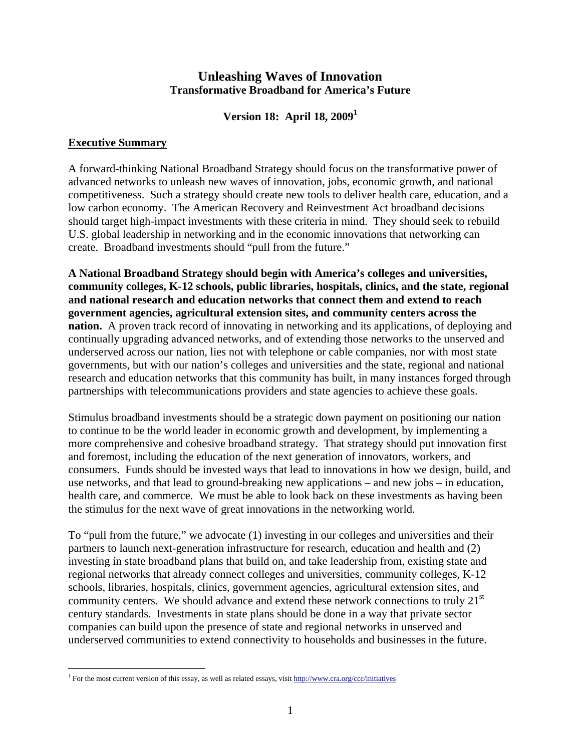# **Unleashing Waves of Innovation Transformative Broadband for America's Future**

**Version 18: April 18, 20091**

### **Executive Summary**

A forward-thinking National Broadband Strategy should focus on the transformative power of advanced networks to unleash new waves of innovation, jobs, economic growth, and national competitiveness. Such a strategy should create new tools to deliver health care, education, and a low carbon economy. The American Recovery and Reinvestment Act broadband decisions should target high-impact investments with these criteria in mind. They should seek to rebuild U.S. global leadership in networking and in the economic innovations that networking can create. Broadband investments should "pull from the future."

**A National Broadband Strategy should begin with America's colleges and universities, community colleges, K-12 schools, public libraries, hospitals, clinics, and the state, regional and national research and education networks that connect them and extend to reach government agencies, agricultural extension sites, and community centers across the nation.** A proven track record of innovating in networking and its applications, of deploying and continually upgrading advanced networks, and of extending those networks to the unserved and underserved across our nation, lies not with telephone or cable companies, nor with most state governments, but with our nation's colleges and universities and the state, regional and national research and education networks that this community has built, in many instances forged through partnerships with telecommunications providers and state agencies to achieve these goals.

Stimulus broadband investments should be a strategic down payment on positioning our nation to continue to be the world leader in economic growth and development, by implementing a more comprehensive and cohesive broadband strategy. That strategy should put innovation first and foremost, including the education of the next generation of innovators, workers, and consumers. Funds should be invested ways that lead to innovations in how we design, build, and use networks, and that lead to ground-breaking new applications – and new jobs – in education, health care, and commerce. We must be able to look back on these investments as having been the stimulus for the next wave of great innovations in the networking world.

To "pull from the future," we advocate (1) investing in our colleges and universities and their partners to launch next-generation infrastructure for research, education and health and (2) investing in state broadband plans that build on, and take leadership from, existing state and regional networks that already connect colleges and universities, community colleges, K-12 schools, libraries, hospitals, clinics, government agencies, agricultural extension sites, and community centers. We should advance and extend these network connections to truly 21<sup>st</sup> century standards. Investments in state plans should be done in a way that private sector companies can build upon the presence of state and regional networks in unserved and underserved communities to extend connectivity to households and businesses in the future.

<sup>1</sup> <sup>1</sup> For the most current version of this essay, as well as related essays, visit http://www.cra.org/ccc/initiatives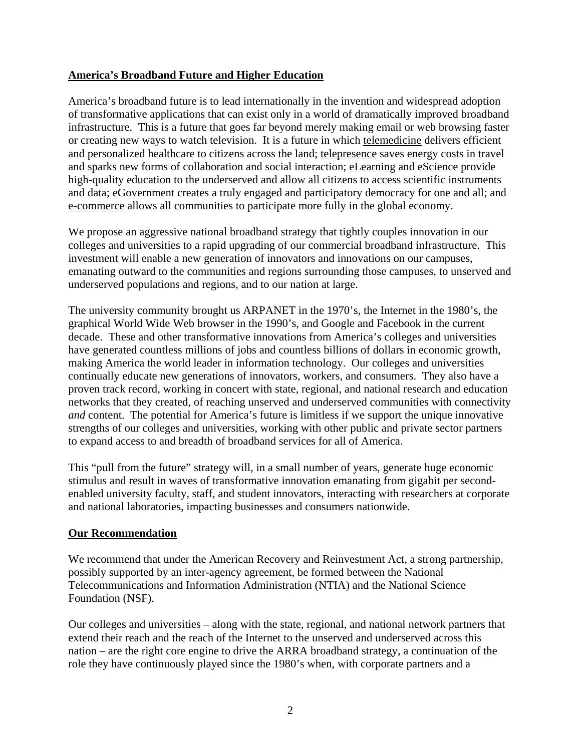# **America's Broadband Future and Higher Education**

America's broadband future is to lead internationally in the invention and widespread adoption of transformative applications that can exist only in a world of dramatically improved broadband infrastructure. This is a future that goes far beyond merely making email or web browsing faster or creating new ways to watch television. It is a future in which telemedicine delivers efficient and personalized healthcare to citizens across the land; telepresence saves energy costs in travel and sparks new forms of collaboration and social interaction; eLearning and eScience provide high-quality education to the underserved and allow all citizens to access scientific instruments and data; eGovernment creates a truly engaged and participatory democracy for one and all; and e-commerce allows all communities to participate more fully in the global economy.

We propose an aggressive national broadband strategy that tightly couples innovation in our colleges and universities to a rapid upgrading of our commercial broadband infrastructure. This investment will enable a new generation of innovators and innovations on our campuses, emanating outward to the communities and regions surrounding those campuses, to unserved and underserved populations and regions, and to our nation at large.

The university community brought us ARPANET in the 1970's, the Internet in the 1980's, the graphical World Wide Web browser in the 1990's, and Google and Facebook in the current decade. These and other transformative innovations from America's colleges and universities have generated countless millions of jobs and countless billions of dollars in economic growth, making America the world leader in information technology. Our colleges and universities continually educate new generations of innovators, workers, and consumers. They also have a proven track record, working in concert with state, regional, and national research and education networks that they created, of reaching unserved and underserved communities with connectivity *and* content. The potential for America's future is limitless if we support the unique innovative strengths of our colleges and universities, working with other public and private sector partners to expand access to and breadth of broadband services for all of America.

This "pull from the future" strategy will, in a small number of years, generate huge economic stimulus and result in waves of transformative innovation emanating from gigabit per secondenabled university faculty, staff, and student innovators, interacting with researchers at corporate and national laboratories, impacting businesses and consumers nationwide.

#### **Our Recommendation**

We recommend that under the American Recovery and Reinvestment Act, a strong partnership, possibly supported by an inter-agency agreement, be formed between the National Telecommunications and Information Administration (NTIA) and the National Science Foundation (NSF).

Our colleges and universities – along with the state, regional, and national network partners that extend their reach and the reach of the Internet to the unserved and underserved across this nation – are the right core engine to drive the ARRA broadband strategy, a continuation of the role they have continuously played since the 1980's when, with corporate partners and a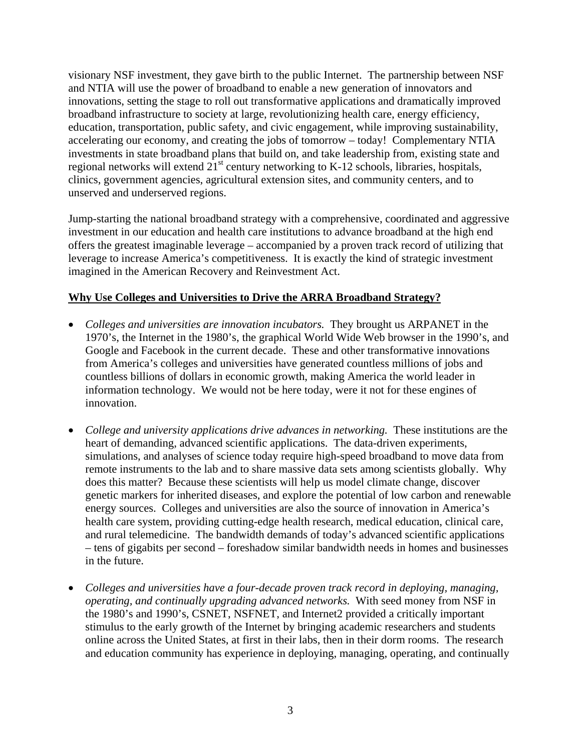visionary NSF investment, they gave birth to the public Internet. The partnership between NSF and NTIA will use the power of broadband to enable a new generation of innovators and innovations, setting the stage to roll out transformative applications and dramatically improved broadband infrastructure to society at large, revolutionizing health care, energy efficiency, education, transportation, public safety, and civic engagement, while improving sustainability, accelerating our economy, and creating the jobs of tomorrow – today! Complementary NTIA investments in state broadband plans that build on, and take leadership from, existing state and regional networks will extend  $21<sup>st</sup>$  century networking to K-12 schools, libraries, hospitals, clinics, government agencies, agricultural extension sites, and community centers, and to unserved and underserved regions.

Jump-starting the national broadband strategy with a comprehensive, coordinated and aggressive investment in our education and health care institutions to advance broadband at the high end offers the greatest imaginable leverage – accompanied by a proven track record of utilizing that leverage to increase America's competitiveness. It is exactly the kind of strategic investment imagined in the American Recovery and Reinvestment Act.

### **Why Use Colleges and Universities to Drive the ARRA Broadband Strategy?**

- *Colleges and universities are innovation incubators.* They brought us ARPANET in the 1970's, the Internet in the 1980's, the graphical World Wide Web browser in the 1990's, and Google and Facebook in the current decade. These and other transformative innovations from America's colleges and universities have generated countless millions of jobs and countless billions of dollars in economic growth, making America the world leader in information technology. We would not be here today, were it not for these engines of innovation.
- *College and university applications drive advances in networking.* These institutions are the heart of demanding, advanced scientific applications. The data-driven experiments, simulations, and analyses of science today require high-speed broadband to move data from remote instruments to the lab and to share massive data sets among scientists globally. Why does this matter? Because these scientists will help us model climate change, discover genetic markers for inherited diseases, and explore the potential of low carbon and renewable energy sources. Colleges and universities are also the source of innovation in America's health care system, providing cutting-edge health research, medical education, clinical care, and rural telemedicine. The bandwidth demands of today's advanced scientific applications – tens of gigabits per second – foreshadow similar bandwidth needs in homes and businesses in the future.
- *Colleges and universities have a four-decade proven track record in deploying, managing, operating, and continually upgrading advanced networks.* With seed money from NSF in the 1980's and 1990's, CSNET, NSFNET, and Internet2 provided a critically important stimulus to the early growth of the Internet by bringing academic researchers and students online across the United States, at first in their labs, then in their dorm rooms. The research and education community has experience in deploying, managing, operating, and continually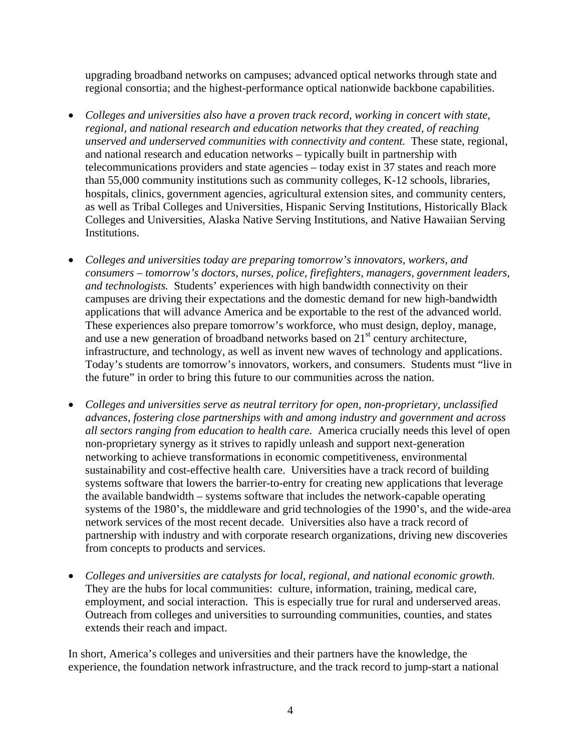upgrading broadband networks on campuses; advanced optical networks through state and regional consortia; and the highest-performance optical nationwide backbone capabilities.

- *Colleges and universities also have a proven track record, working in concert with state, regional, and national research and education networks that they created, of reaching unserved and underserved communities with connectivity and content.* These state, regional, and national research and education networks – typically built in partnership with telecommunications providers and state agencies – today exist in 37 states and reach more than 55,000 community institutions such as community colleges, K-12 schools, libraries, hospitals, clinics, government agencies, agricultural extension sites, and community centers, as well as Tribal Colleges and Universities, Hispanic Serving Institutions, Historically Black Colleges and Universities, Alaska Native Serving Institutions, and Native Hawaiian Serving Institutions.
- *Colleges and universities today are preparing tomorrow's innovators, workers, and consumers – tomorrow's doctors, nurses, police, firefighters, managers, government leaders, and technologists.* Students' experiences with high bandwidth connectivity on their campuses are driving their expectations and the domestic demand for new high-bandwidth applications that will advance America and be exportable to the rest of the advanced world. These experiences also prepare tomorrow's workforce, who must design, deploy, manage, and use a new generation of broadband networks based on  $21<sup>st</sup>$  century architecture, infrastructure, and technology, as well as invent new waves of technology and applications. Today's students are tomorrow's innovators, workers, and consumers. Students must "live in the future" in order to bring this future to our communities across the nation.
- *Colleges and universities serve as neutral territory for open, non-proprietary, unclassified advances, fostering close partnerships with and among industry and government and across all sectors ranging from education to health care.* America crucially needs this level of open non-proprietary synergy as it strives to rapidly unleash and support next-generation networking to achieve transformations in economic competitiveness, environmental sustainability and cost-effective health care. Universities have a track record of building systems software that lowers the barrier-to-entry for creating new applications that leverage the available bandwidth – systems software that includes the network-capable operating systems of the 1980's, the middleware and grid technologies of the 1990's, and the wide-area network services of the most recent decade. Universities also have a track record of partnership with industry and with corporate research organizations, driving new discoveries from concepts to products and services.
- *Colleges and universities are catalysts for local, regional, and national economic growth.* They are the hubs for local communities: culture, information, training, medical care, employment, and social interaction. This is especially true for rural and underserved areas. Outreach from colleges and universities to surrounding communities, counties, and states extends their reach and impact.

In short, America's colleges and universities and their partners have the knowledge, the experience, the foundation network infrastructure, and the track record to jump-start a national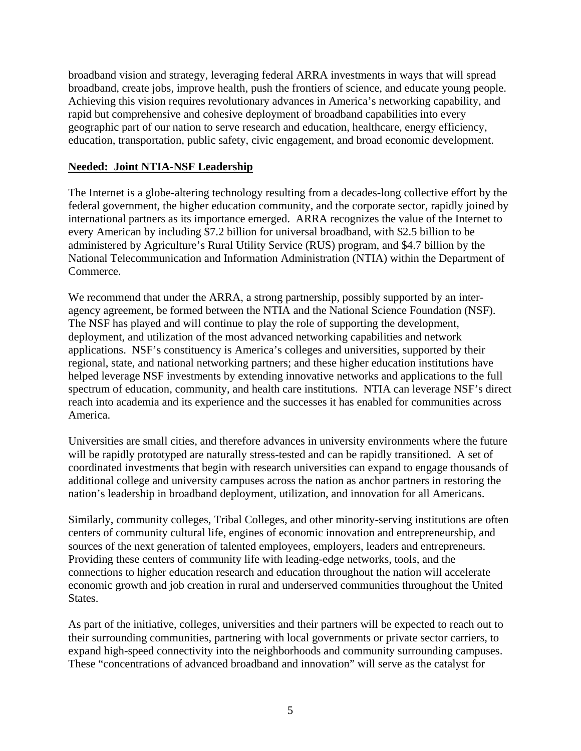broadband vision and strategy, leveraging federal ARRA investments in ways that will spread broadband, create jobs, improve health, push the frontiers of science, and educate young people. Achieving this vision requires revolutionary advances in America's networking capability, and rapid but comprehensive and cohesive deployment of broadband capabilities into every geographic part of our nation to serve research and education, healthcare, energy efficiency, education, transportation, public safety, civic engagement, and broad economic development.

# **Needed: Joint NTIA-NSF Leadership**

The Internet is a globe-altering technology resulting from a decades-long collective effort by the federal government, the higher education community, and the corporate sector, rapidly joined by international partners as its importance emerged. ARRA recognizes the value of the Internet to every American by including \$7.2 billion for universal broadband, with \$2.5 billion to be administered by Agriculture's Rural Utility Service (RUS) program, and \$4.7 billion by the National Telecommunication and Information Administration (NTIA) within the Department of Commerce.

We recommend that under the ARRA, a strong partnership, possibly supported by an interagency agreement, be formed between the NTIA and the National Science Foundation (NSF). The NSF has played and will continue to play the role of supporting the development, deployment, and utilization of the most advanced networking capabilities and network applications. NSF's constituency is America's colleges and universities, supported by their regional, state, and national networking partners; and these higher education institutions have helped leverage NSF investments by extending innovative networks and applications to the full spectrum of education, community, and health care institutions. NTIA can leverage NSF's direct reach into academia and its experience and the successes it has enabled for communities across America.

Universities are small cities, and therefore advances in university environments where the future will be rapidly prototyped are naturally stress-tested and can be rapidly transitioned. A set of coordinated investments that begin with research universities can expand to engage thousands of additional college and university campuses across the nation as anchor partners in restoring the nation's leadership in broadband deployment, utilization, and innovation for all Americans.

Similarly, community colleges, Tribal Colleges, and other minority-serving institutions are often centers of community cultural life, engines of economic innovation and entrepreneurship, and sources of the next generation of talented employees, employers, leaders and entrepreneurs. Providing these centers of community life with leading-edge networks, tools, and the connections to higher education research and education throughout the nation will accelerate economic growth and job creation in rural and underserved communities throughout the United States.

As part of the initiative, colleges, universities and their partners will be expected to reach out to their surrounding communities, partnering with local governments or private sector carriers, to expand high-speed connectivity into the neighborhoods and community surrounding campuses. These "concentrations of advanced broadband and innovation" will serve as the catalyst for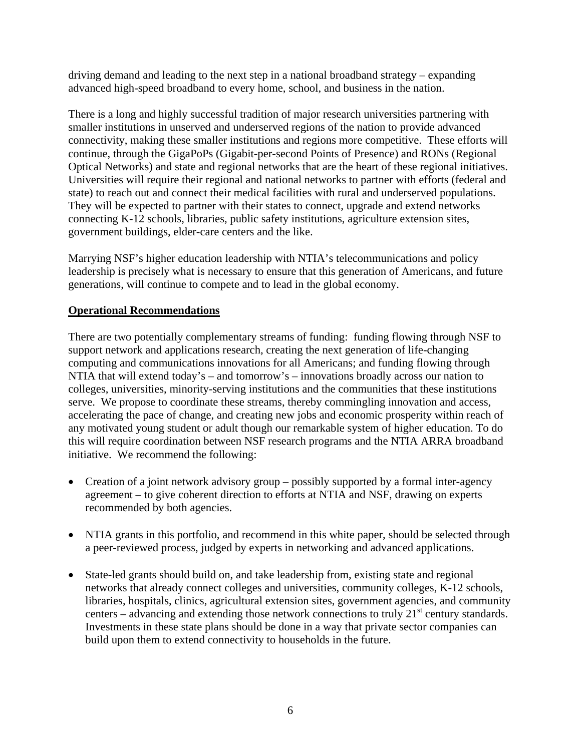driving demand and leading to the next step in a national broadband strategy – expanding advanced high-speed broadband to every home, school, and business in the nation.

There is a long and highly successful tradition of major research universities partnering with smaller institutions in unserved and underserved regions of the nation to provide advanced connectivity, making these smaller institutions and regions more competitive. These efforts will continue, through the GigaPoPs (Gigabit-per-second Points of Presence) and RONs (Regional Optical Networks) and state and regional networks that are the heart of these regional initiatives. Universities will require their regional and national networks to partner with efforts (federal and state) to reach out and connect their medical facilities with rural and underserved populations. They will be expected to partner with their states to connect, upgrade and extend networks connecting K-12 schools, libraries, public safety institutions, agriculture extension sites, government buildings, elder-care centers and the like.

Marrying NSF's higher education leadership with NTIA's telecommunications and policy leadership is precisely what is necessary to ensure that this generation of Americans, and future generations, will continue to compete and to lead in the global economy.

# **Operational Recommendations**

There are two potentially complementary streams of funding: funding flowing through NSF to support network and applications research, creating the next generation of life-changing computing and communications innovations for all Americans; and funding flowing through NTIA that will extend today's – and tomorrow's – innovations broadly across our nation to colleges, universities, minority-serving institutions and the communities that these institutions serve. We propose to coordinate these streams, thereby commingling innovation and access, accelerating the pace of change, and creating new jobs and economic prosperity within reach of any motivated young student or adult though our remarkable system of higher education. To do this will require coordination between NSF research programs and the NTIA ARRA broadband initiative. We recommend the following:

- Creation of a joint network advisory group possibly supported by a formal inter-agency agreement – to give coherent direction to efforts at NTIA and NSF, drawing on experts recommended by both agencies.
- NTIA grants in this portfolio, and recommend in this white paper, should be selected through a peer-reviewed process, judged by experts in networking and advanced applications.
- State-led grants should build on, and take leadership from, existing state and regional networks that already connect colleges and universities, community colleges, K-12 schools, libraries, hospitals, clinics, agricultural extension sites, government agencies, and community centers – advancing and extending those network connections to truly  $21<sup>st</sup>$  century standards. Investments in these state plans should be done in a way that private sector companies can build upon them to extend connectivity to households in the future.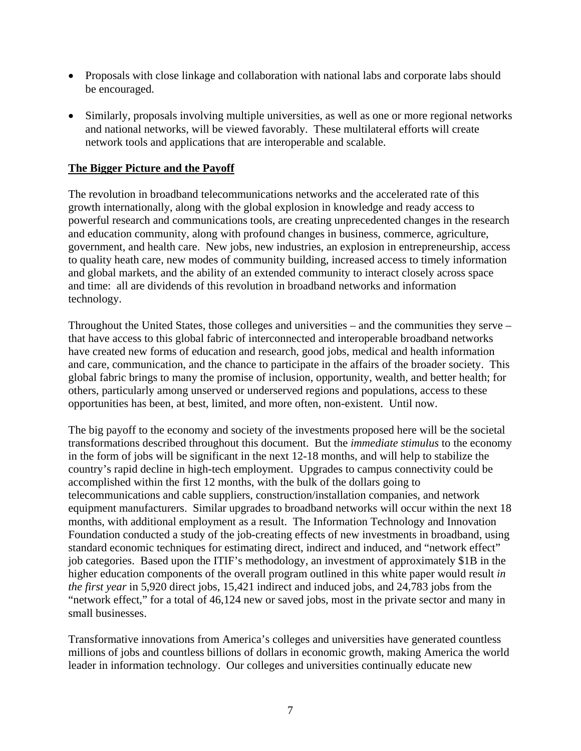- Proposals with close linkage and collaboration with national labs and corporate labs should be encouraged.
- Similarly, proposals involving multiple universities, as well as one or more regional networks and national networks, will be viewed favorably. These multilateral efforts will create network tools and applications that are interoperable and scalable.

# **The Bigger Picture and the Payoff**

The revolution in broadband telecommunications networks and the accelerated rate of this growth internationally, along with the global explosion in knowledge and ready access to powerful research and communications tools, are creating unprecedented changes in the research and education community, along with profound changes in business, commerce, agriculture, government, and health care. New jobs, new industries, an explosion in entrepreneurship, access to quality heath care, new modes of community building, increased access to timely information and global markets, and the ability of an extended community to interact closely across space and time: all are dividends of this revolution in broadband networks and information technology.

Throughout the United States, those colleges and universities – and the communities they serve – that have access to this global fabric of interconnected and interoperable broadband networks have created new forms of education and research, good jobs, medical and health information and care, communication, and the chance to participate in the affairs of the broader society. This global fabric brings to many the promise of inclusion, opportunity, wealth, and better health; for others, particularly among unserved or underserved regions and populations, access to these opportunities has been, at best, limited, and more often, non-existent. Until now.

The big payoff to the economy and society of the investments proposed here will be the societal transformations described throughout this document. But the *immediate stimulus* to the economy in the form of jobs will be significant in the next 12-18 months, and will help to stabilize the country's rapid decline in high-tech employment. Upgrades to campus connectivity could be accomplished within the first 12 months, with the bulk of the dollars going to telecommunications and cable suppliers, construction/installation companies, and network equipment manufacturers. Similar upgrades to broadband networks will occur within the next 18 months, with additional employment as a result. The Information Technology and Innovation Foundation conducted a study of the job-creating effects of new investments in broadband, using standard economic techniques for estimating direct, indirect and induced, and "network effect" job categories. Based upon the ITIF's methodology, an investment of approximately \$1B in the higher education components of the overall program outlined in this white paper would result *in the first year* in 5,920 direct jobs, 15,421 indirect and induced jobs, and 24,783 jobs from the "network effect," for a total of 46,124 new or saved jobs, most in the private sector and many in small businesses.

Transformative innovations from America's colleges and universities have generated countless millions of jobs and countless billions of dollars in economic growth, making America the world leader in information technology. Our colleges and universities continually educate new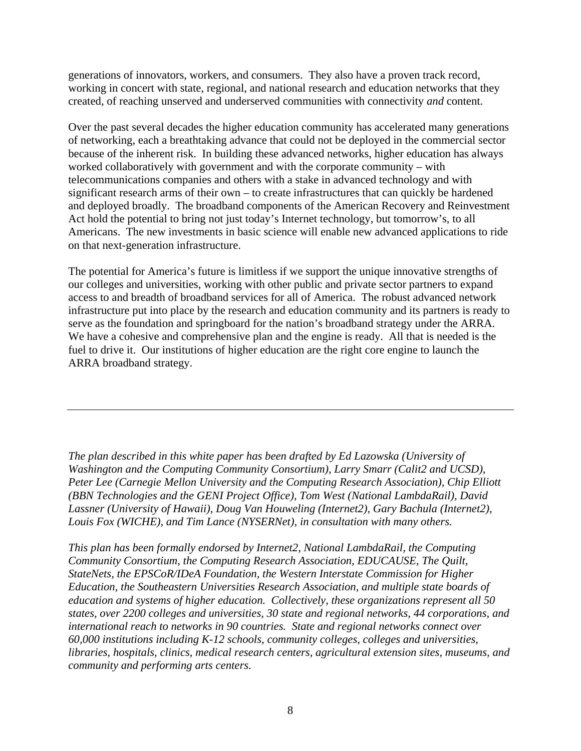generations of innovators, workers, and consumers. They also have a proven track record, working in concert with state, regional, and national research and education networks that they created, of reaching unserved and underserved communities with connectivity *and* content.

Over the past several decades the higher education community has accelerated many generations of networking, each a breathtaking advance that could not be deployed in the commercial sector because of the inherent risk. In building these advanced networks, higher education has always worked collaboratively with government and with the corporate community – with telecommunications companies and others with a stake in advanced technology and with significant research arms of their own – to create infrastructures that can quickly be hardened and deployed broadly. The broadband components of the American Recovery and Reinvestment Act hold the potential to bring not just today's Internet technology, but tomorrow's, to all Americans. The new investments in basic science will enable new advanced applications to ride on that next-generation infrastructure.

The potential for America's future is limitless if we support the unique innovative strengths of our colleges and universities, working with other public and private sector partners to expand access to and breadth of broadband services for all of America. The robust advanced network infrastructure put into place by the research and education community and its partners is ready to serve as the foundation and springboard for the nation's broadband strategy under the ARRA. We have a cohesive and comprehensive plan and the engine is ready. All that is needed is the fuel to drive it. Our institutions of higher education are the right core engine to launch the ARRA broadband strategy.

*The plan described in this white paper has been drafted by Ed Lazowska (University of Washington and the Computing Community Consortium), Larry Smarr (Calit2 and UCSD), Peter Lee (Carnegie Mellon University and the Computing Research Association), Chip Elliott (BBN Technologies and the GENI Project Office), Tom West (National LambdaRail), David Lassner (University of Hawaii), Doug Van Houweling (Internet2), Gary Bachula (Internet2), Louis Fox (WICHE), and Tim Lance (NYSERNet), in consultation with many others.* 

*This plan has been formally endorsed by Internet2, National LambdaRail, the Computing Community Consortium, the Computing Research Association, EDUCAUSE, The Quilt, StateNets, the EPSCoR/IDeA Foundation, the Western Interstate Commission for Higher Education, the Southeastern Universities Research Association, and multiple state boards of education and systems of higher education. Collectively, these organizations represent all 50 states, over 2200 colleges and universities, 30 state and regional networks, 44 corporations, and international reach to networks in 90 countries. State and regional networks connect over 60,000 institutions including K-12 schools, community colleges, colleges and universities, libraries, hospitals, clinics, medical research centers, agricultural extension sites, museums, and community and performing arts centers.*